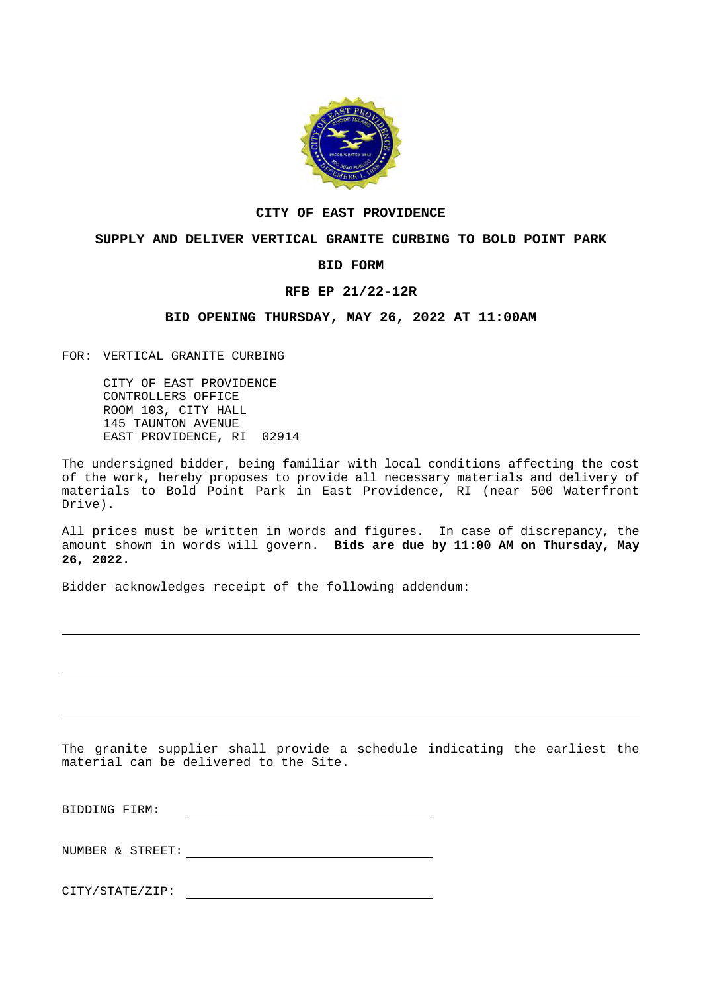

### **CITY OF EAST PROVIDENCE**

# **SUPPLY AND DELIVER VERTICAL GRANITE CURBING TO BOLD POINT PARK**

#### **BID FORM**

### **RFB EP 21/22-12R**

# **BID OPENING THURSDAY, MAY 26, 2022 AT 11:00AM**

FOR: VERTICAL GRANITE CURBING

CITY OF EAST PROVIDENCE CONTROLLERS OFFICE ROOM 103, CITY HALL 145 TAUNTON AVENUE EAST PROVIDENCE, RI 02914

The undersigned bidder, being familiar with local conditions affecting the cost of the work, hereby proposes to provide all necessary materials and delivery of materials to Bold Point Park in East Providence, RI (near 500 Waterfront Drive).

All prices must be written in words and figures. In case of discrepancy, the amount shown in words will govern. **Bids are due by 11:00 AM on Thursday, May 26, 2022.**

Bidder acknowledges receipt of the following addendum:

The granite supplier shall provide a schedule indicating the earliest the material can be delivered to the Site.

BIDDING FIRM:

NUMBER & STREET:

CITY/STATE/ZIP: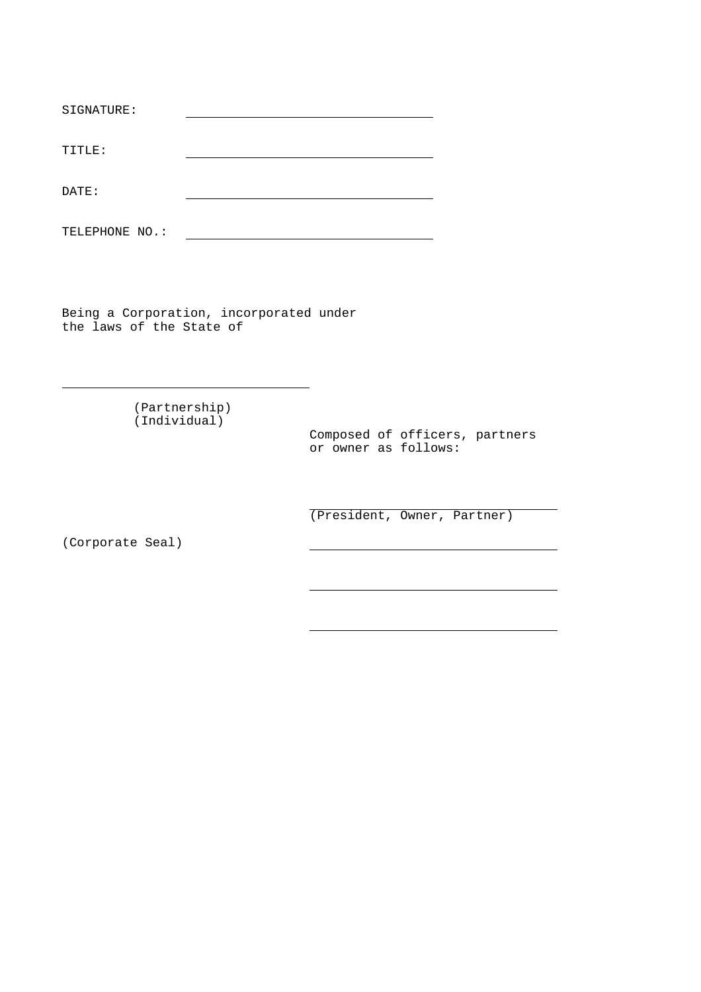| SIGNATURE:     |  |
|----------------|--|
|                |  |
| TITLE:         |  |
|                |  |
| DATE:          |  |
|                |  |
| TELEPHONE NO.: |  |

Being a Corporation, incorporated under the laws of the State of

> (Partnership) (Individual)

Composed of officers, partners or owner as follows:

(President, Owner, Partner)

(Corporate Seal)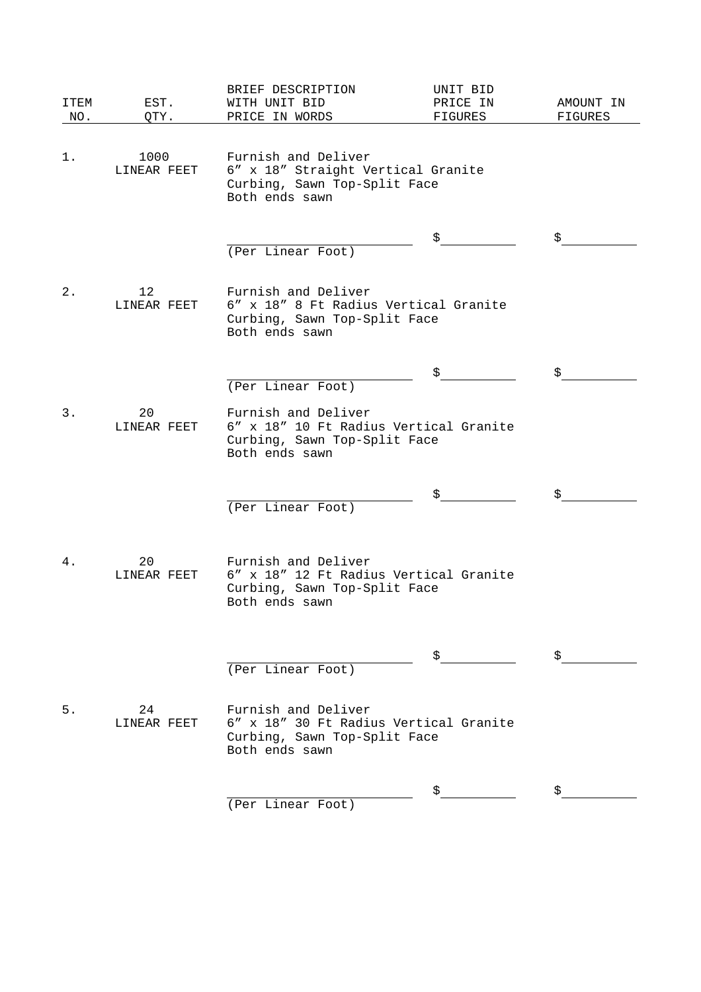| ITEM<br>NO. | EST.<br>QTY.                     | BRIEF DESCRIPTION<br>WITH UNIT BID<br>PRICE IN WORDS                                                            | UNIT BID<br>PRICE IN<br>FIGURES | AMOUNT IN<br>FIGURES |
|-------------|----------------------------------|-----------------------------------------------------------------------------------------------------------------|---------------------------------|----------------------|
| 1.          | 1000<br>LINEAR FEET              | Furnish and Deliver<br>6" x 18" Straight Vertical Granite<br>Curbing, Sawn Top-Split Face<br>Both ends sawn     |                                 |                      |
|             |                                  | (Per Linear Foot)                                                                                               | S.                              | S.                   |
| 2.          | $12 \overline{ }$<br>LINEAR FEET | Furnish and Deliver<br>6" x 18" 8 Ft Radius Vertical Granite<br>Curbing, Sawn Top-Split Face<br>Both ends sawn  |                                 |                      |
|             |                                  | (Per Linear Foot)                                                                                               | \$                              | \$                   |
| $3$ .       | 20<br>LINEAR FEET                | Furnish and Deliver<br>6" x 18" 10 Ft Radius Vertical Granite<br>Curbing, Sawn Top-Split Face<br>Both ends sawn |                                 |                      |
|             |                                  | (Per Linear Foot)                                                                                               |                                 |                      |
| 4.          | 20<br>LINEAR FEET                | Furnish and Deliver<br>6" x 18" 12 Ft Radius Vertical Granite<br>Curbing, Sawn Top-Split Face<br>Both ends sawn |                                 |                      |
|             |                                  | (Per Linear Foot)                                                                                               | S.                              |                      |
| 5.          | 24<br>LINEAR FEET                | Furnish and Deliver<br>6" x 18" 30 Ft Radius Vertical Granite<br>Curbing, Sawn Top-Split Face<br>Both ends sawn |                                 |                      |
|             |                                  | (Per Linear Foot)                                                                                               |                                 |                      |